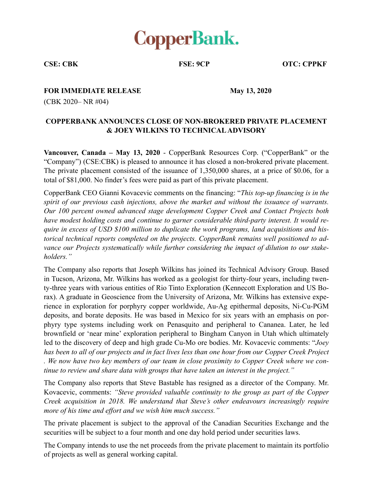

**CSE: CBK FSE: 9CP OTC: CPPKF** 

**FOR IMMEDIATE RELEASE May 13, 2020** 

(CBK 2020– NR #04)

## **COPPERBANK ANNOUNCES CLOSE OF NON-BROKERED PRIVATE PLACEMENT & JOEY WILKINS TO TECHNICAL ADVISORY**

**Vancouver, Canada – May 13, 2020** - CopperBank Resources Corp. ("CopperBank" or the "Company") (CSE:CBK) is pleased to announce it has closed a non-brokered private placement. The private placement consisted of the issuance of 1,350,000 shares, at a price of \$0.06, for a total of \$81,000. No finder's fees were paid as part of this private placement.

CopperBank CEO Gianni Kovacevic comments on the financing: "*This top-up financing is in the spirit of our previous cash injections, above the market and without the issuance of warrants. Our 100 percent owned advanced stage development Copper Creek and Contact Projects both have modest holding costs and continue to garner considerable third-party interest. It would require in excess of USD \$100 million to duplicate the work programs, land acquisitions and historical technical reports completed on the projects. CopperBank remains well positioned to advance our Projects systematically while further considering the impact of dilution to our stakeholders."*

The Company also reports that Joseph Wilkins has joined its Technical Advisory Group. Based in Tucson, Arizona, Mr. Wilkins has worked as a geologist for thirty-four years, including twenty-three years with various entities of Rio Tinto Exploration (Kennecott Exploration and US Borax). A graduate in Geoscience from the University of Arizona, Mr. Wilkins has extensive experience in exploration for porphyry copper worldwide, Au-Ag epithermal deposits, Ni-Cu-PGM deposits, and borate deposits. He was based in Mexico for six years with an emphasis on porphyry type systems including work on Penasquito and peripheral to Cananea. Later, he led brownfield or 'near mine' exploration peripheral to Bingham Canyon in Utah which ultimately led to the discovery of deep and high grade Cu-Mo ore bodies. Mr. Kovacevic comments: "*Joey has been to all of our projects and in fact lives less than one hour from our Copper Creek Project . We now have two key members of our team in close proximity to Copper Creek where we continue to review and share data with groups that have taken an interest in the project."* 

The Company also reports that Steve Bastable has resigned as a director of the Company. Mr. Kovacevic, comments: *"Steve provided valuable continuity to the group as part of the Copper Creek acquisition in 2018. We understand that Steve's other endeavours increasingly require more of his time and effort and we wish him much success."* 

The private placement is subject to the approval of the Canadian Securities Exchange and the securities will be subject to a four month and one day hold period under securities laws.

The Company intends to use the net proceeds from the private placement to maintain its portfolio of projects as well as general working capital.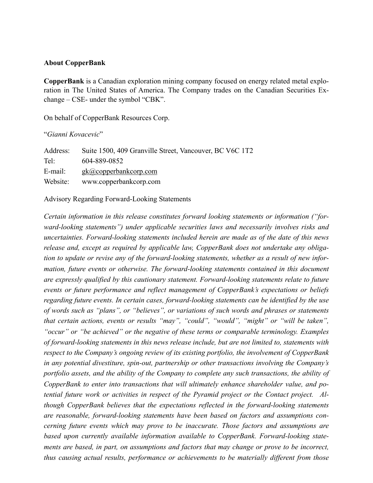## **About CopperBank**

**CopperBank** is a Canadian exploration mining company focused on energy related metal exploration in The United States of America. The Company trades on the Canadian Securities Exchange – CSE- under the symbol "CBK".

On behalf of CopperBank Resources Corp.

"*Gianni Kovacevic*"

| Address: | Suite 1500, 409 Granville Street, Vancouver, BC V6C 1T2 |
|----------|---------------------------------------------------------|
| $Tel^+$  | 604-889-0852                                            |
| E-mail:  | $g_k(a)$ copperbankcorp.com                             |
| Website: | www.copperbankcorp.com                                  |

Advisory Regarding Forward-Looking Statements

*Certain information in this release constitutes forward looking statements or information ("forward-looking statements") under applicable securities laws and necessarily involves risks and uncertainties. Forward-looking statements included herein are made as of the date of this news release and, except as required by applicable law, CopperBank does not undertake any obligation to update or revise any of the forward-looking statements, whether as a result of new information, future events or otherwise. The forward-looking statements contained in this document are expressly qualified by this cautionary statement. Forward-looking statements relate to future events or future performance and reflect management of CopperBank's expectations or beliefs regarding future events. In certain cases, forward-looking statements can be identified by the use of words such as "plans", or "believes", or variations of such words and phrases or statements that certain actions, events or results "may", "could", "would", "might" or "will be taken", "occur" or "be achieved" or the negative of these terms or comparable terminology. Examples of forward-looking statements in this news release include, but are not limited to, statements with respect to the Company's ongoing review of its existing portfolio, the involvement of CopperBank in any potential divestiture, spin-out, partnership or other transactions involving the Company's portfolio assets, and the ability of the Company to complete any such transactions, the ability of CopperBank to enter into transactions that will ultimately enhance shareholder value, and potential future work or activities in respect of the Pyramid project or the Contact project. Although CopperBank believes that the expectations reflected in the forward-looking statements are reasonable, forward-looking statements have been based on factors and assumptions concerning future events which may prove to be inaccurate. Those factors and assumptions are based upon currently available information available to CopperBank. Forward-looking statements are based, in part, on assumptions and factors that may change or prove to be incorrect, thus causing actual results, performance or achievements to be materially different from those*